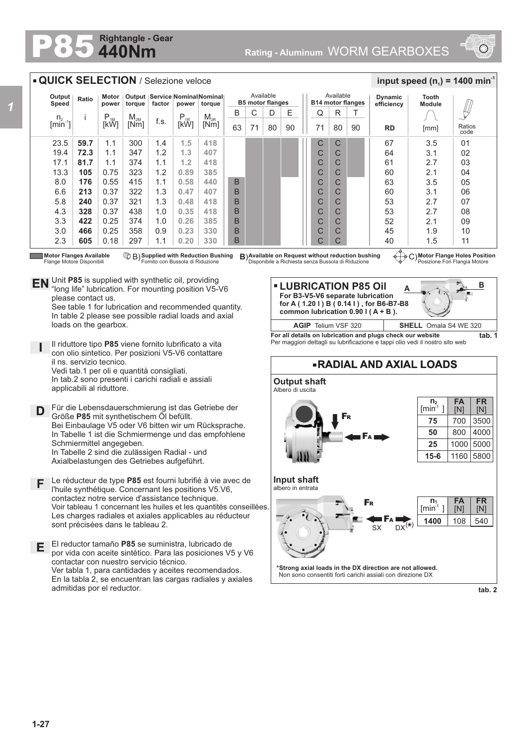## **440Nm Rightangle - Gear**



## 80 **Motor Flanges Available ① B) Supplied with Reduction Bushing B)Available on Request without reduction bushing ④……<br>Flange Motore Disponibili Fornito con Bussola di Riduzione Disponibile a Richiesta senza Bu** 23.5 19.4 17.1 13.3 8.0 6.6 5.8 4.3 3.3 3.0 2.3 **59.7 72.3 81.7 105 176 213 240 328 422 466 605** 1.1 1.1 1.1 0.75 0.55 0.37 0.37 0.37 0.25 0.25 0.18 300 347 374 323 415 322 321 438 374 358 297 1.4 1.2 1.1 1.2 1.1 1.3 1.3 1.0 1.0 0.9 1.1 n.  $\text{[min}^1$ i P<br>[kW]  $M_{2M}$ <br>Mml  $\begin{array}{c|c|c|c} \mathsf{M}_{\mathsf{2M}} & \mathsf{f.s.} & \mathsf{P}_{\mathsf{1R}} & \mathsf{M}_{\mathsf{2R}} \ \hline \mathsf{[Nm]} & \mathsf{[KW]} & \mathsf{[KW]} \end{array}$ **Output Speed Ratio Motor power Output torque Service Nominal Nominal factor power torque QUICK SELECTION** / Selezione veloce Available **B5 motor flanges RD Dynamic efficiency** 67 64 61 60  $63$ 60 53 53 52 45 40 3.5 3.1 2.7 2.1 3.5 3.1 2.7 2.7 2.1 1.9 1.5 Ratios code  $0<sub>1</sub>$  $02$ 03 04 05  $\Omega$ 07 08 09 10 11 **Tooth Module**  $\frac{1}{2}$  **input speed (n**<sub>1</sub>) = 1400 min<sup>-1</sup> Available **B14 motor flanges** D E || Q R 90 T C C C C  $\overline{C}$ C C C  $\overline{C}$ C  $\mathcal{C}$  $B \mid C$  $63$  71 80 90 1 71 B B B B B B B  $71 | 80 | 90$ C C C C  $\overline{C}$ C C C C C C [mm] **1.5 1.3 1.2 0.89 0.58 0.47 0.48 0.35 0.26 0.23 0.20 418 407 418 385 440 407 418 418 385 330 330**

Flange Motore Disponibili

**Supplied with Reduction Bushing** B) **B**) Fornito con Bussola di Riduzione

**Motor Flange Holes Position** Posizione Fori Flangia Motore

**B**

**EN** Unit **P85** is supplied with synthetic oil, providing  $\mathbb{R}$  "long life" lubrication. For mounting position V5-"long life" lubrication. For mounting position V5-V6 please contact us.

See table 1 for lubrication and recommended quantity. In table 2 please see possible radial loads and axial loads on the gearbox.

**I** Il riduttore tipo **P85** viene fornito lubrificato a vita con olio sintetico. Per posizioni V5-V6 contattare il ns. servizio tecnico. Vedi tab.1 per oli e quantità consigliati.

In tab.2 sono presenti i carichi radiali e assiali applicabili al riduttore.

- **D** Für die Lebensdauerschmierung ist das Getriebe der Größe **P85** mit synthetischem Öl befüllt. Bei Einbaulage V5 oder V6 bitten wir um Rücksprache. In Tabelle 1 ist die Schmiermenge und das empfohlene Schmiermittel angegeben. In Tabelle 2 sind die zulässigen Radial - und Axialbelastungen des Getriebes aufgeführt.
- Le réducteur de type **P85** est fourni lubrifié à vie avec de l'huile synthétique. Concernant les positions V5.V6, contactez notre service d'assistance technique. Voir tableau 1 concernant les huiles et les quantités conseillées. Les charges radiales et axiales applicables au réducteur sont précisées dans le tableau 2. **F**
- **E** El reductor tamaño **P85** se suministra, lubricado de por vida con aceite sintético. Para las posiciones V5 y V6 contactar con nuestro servicio técnico. Ver tabla 1, para cantidades y aceites recomendados. En la tabla 2, se encuentran las cargas radiales y axiales admitidas por el reductor.



**For all details on lubrication and plugs check our website tab. 1** Per maggiori dettagli su lubrificazione e tappi olio vedi il nostro sito web



**tab. 2**